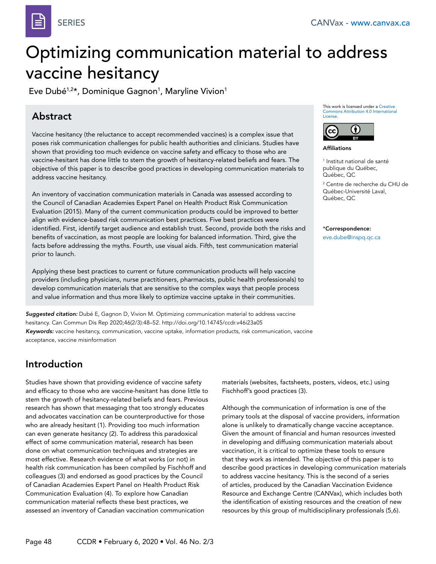

# Optimizing communication material to address vaccine hesitancy

Eve Dubé $^{1,2\star}$ , Dominique Gagnon $^1$ , Maryline Vivion $^1$ 

### Abstract

Vaccine hesitancy (the reluctance to accept recommended vaccines) is a complex issue that poses risk communication challenges for public health authorities and clinicians. Studies have shown that providing too much evidence on vaccine safety and efficacy to those who are vaccine-hesitant has done little to stem the growth of hesitancy-related beliefs and fears. The objective of this paper is to describe good practices in developing communication materials to address vaccine hesitancy.

An inventory of vaccination communication materials in Canada was assessed according to the Council of Canadian Academies Expert Panel on Health Product Risk Communication Evaluation (2015). Many of the current communication products could be improved to better align with evidence-based risk communication best practices. Five best practices were identified. First, identify target audience and establish trust. Second, provide both the risks and benefits of vaccination, as most people are looking for balanced information. Third, give the facts before addressing the myths. Fourth, use visual aids. Fifth, test communication material prior to launch.

Applying these best practices to current or future communication products will help vaccine providers (including physicians, nurse practitioners, pharmacists, public health professionals) to develop communication materials that are sensitive to the complex ways that people process and value information and thus more likely to optimize vaccine uptake in their communities.

*Suggested citation:* Dubé E, Gagnon D, Vivion M. Optimizing communication material to address vaccine hesitancy. Can Commun Dis Rep 2020;46(2/3):48–52. http://doi.org/10.14745/ccdr.v46i23a05 *Keywords:* vaccine hesitancy, communication, vaccine uptake, information products, risk communication, vaccine acceptance, vaccine misinformation

# Introduction

Studies have shown that providing evidence of vaccine safety and efficacy to those who are vaccine-hesitant has done little to stem the growth of hesitancy-related beliefs and fears. Previous research has shown that messaging that too strongly educates and advocates vaccination can be counterproductive for those who are already hesitant (1). Providing too much information can even generate hesitancy (2). To address this paradoxical effect of some communication material, research has been done on what communication techniques and strategies are most effective. Research evidence of what works (or not) in health risk communication has been compiled by Fischhoff and colleagues (3) and endorsed as good practices by the Council of Canadian Academies Expert Panel on Health Product Risk Communication Evaluation (4). To explore how Canadian communication material reflects these best practices, we assessed an inventory of Canadian vaccination communication

This work is licensed under a [Creative](https://creativecommons.org/licenses/by/4.0/)  [Commons Attribution 4.0 International](https://creativecommons.org/licenses/by/4.0/)  [License](https://creativecommons.org/licenses/by/4.0/).



Affiliations

1 Institut national de santé publique du Québec, Québec, QC 2 Centre de recherche du CHU de

Québec-Université Laval, Québec, QC

#### \*Correspondence:

[eve.dube@inspq.qc.ca](mailto:eve.dube%40inspq.qc.ca?subject=)

materials (websites, factsheets, posters, videos, etc.) using Fischhoff's good practices (3).

Although the communication of information is one of the primary tools at the disposal of vaccine providers, information alone is unlikely to dramatically change vaccine acceptance. Given the amount of financial and human resources invested in developing and diffusing communication materials about vaccination, it is critical to optimize these tools to ensure that they work as intended. The objective of this paper is to describe good practices in developing communication materials to address vaccine hesitancy. This is the second of a series of articles, produced by the Canadian Vaccination Evidence Resource and Exchange Centre (CANVax), which includes both the identification of existing resources and the creation of new resources by this group of multidisciplinary professionals (5,6).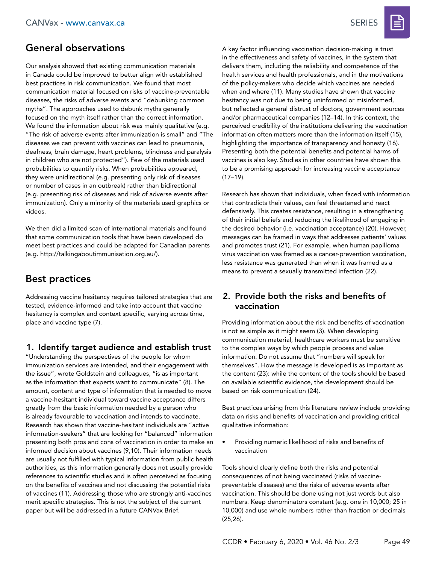### General observations

Our analysis showed that existing communication materials in Canada could be improved to better align with established best practices in risk communication. We found that most communication material focused on risks of vaccine-preventable diseases, the risks of adverse events and "debunking common myths". The approaches used to debunk myths generally focused on the myth itself rather than the correct information. We found the information about risk was mainly qualitative (e.g. "The risk of adverse events after immunization is small" and "The diseases we can prevent with vaccines can lead to pneumonia, deafness, brain damage, heart problems, blindness and paralysis in children who are not protected"). Few of the materials used probabilities to quantify risks. When probabilities appeared, they were unidirectional (e.g. presenting only risk of diseases or number of cases in an outbreak) rather than bidirectional (e.g. presenting risk of diseases and risk of adverse events after immunization). Only a minority of the materials used graphics or videos.

We then did a limited scan of international materials and found that some communication tools that have been developed do meet best practices and could be adapted for Canadian parents (e.g. <http://talkingaboutimmunisation.org.au/>).

### Best practices

Addressing vaccine hesitancy requires tailored strategies that are tested, evidence-informed and take into account that vaccine hesitancy is complex and context specific, varying across time, place and vaccine type (7).

#### 1. Identify target audience and establish trust

"Understanding the perspectives of the people for whom immunization services are intended, and their engagement with the issue", wrote Goldstein and colleagues, "is as important as the information that experts want to communicate" (8). The amount, content and type of information that is needed to move a vaccine-hesitant individual toward vaccine acceptance differs greatly from the basic information needed by a person who is already favourable to vaccination and intends to vaccinate. Research has shown that vaccine-hesitant individuals are "active information-seekers" that are looking for "balanced" information presenting both pros and cons of vaccination in order to make an informed decision about vaccines (9,10). Their information needs are usually not fulfilled with typical information from public health authorities, as this information generally does not usually provide references to scientific studies and is often perceived as focusing on the benefits of vaccines and not discussing the potential risks of vaccines (11). Addressing those who are strongly anti-vaccines merit specific strategies. This is not the subject of the current paper but will be addressed in a future CANVax Brief.

A key factor influencing vaccination decision-making is trust in the effectiveness and safety of vaccines, in the system that delivers them, including the reliability and competence of the health services and health professionals, and in the motivations of the policy-makers who decide which vaccines are needed when and where (11). Many studies have shown that vaccine hesitancy was not due to being uninformed or misinformed, but reflected a general distrust of doctors, government sources and/or pharmaceutical companies (12–14). In this context, the perceived credibility of the institutions delivering the vaccination information often matters more than the information itself (15), highlighting the importance of transparency and honesty (16). Presenting both the potential benefits and potential harms of vaccines is also key. Studies in other countries have shown this to be a promising approach for increasing vaccine acceptance (17–19).

Research has shown that individuals, when faced with information that contradicts their values, can feel threatened and react defensively. This creates resistance, resulting in a strengthening of their initial beliefs and reducing the likelihood of engaging in the desired behavior (i.e. vaccination acceptance) (20). However, messages can be framed in ways that addresses patients' values and promotes trust (21). For example, when human papilloma virus vaccination was framed as a cancer-prevention vaccination, less resistance was generated than when it was framed as a means to prevent a sexually transmitted infection (22).

#### 2. Provide both the risks and benefits of vaccination

Providing information about the risk and benefits of vaccination is not as simple as it might seem (3). When developing communication material, healthcare workers must be sensitive to the complex ways by which people process and value information. Do not assume that "numbers will speak for themselves". How the message is developed is as important as the content (23): while the content of the tools should be based on available scientific evidence, the development should be based on risk communication (24).

Best practices arising from this literature review include providing data on risks and benefits of vaccination and providing critical qualitative information:

• Providing numeric likelihood of risks and benefits of vaccination

Tools should clearly define both the risks and potential consequences of not being vaccinated (risks of vaccinepreventable diseases) and the risks of adverse events after vaccination. This should be done using not just words but also numbers. Keep denominators constant (e.g. one in 10,000; 25 in 10,000) and use whole numbers rather than fraction or decimals (25,26).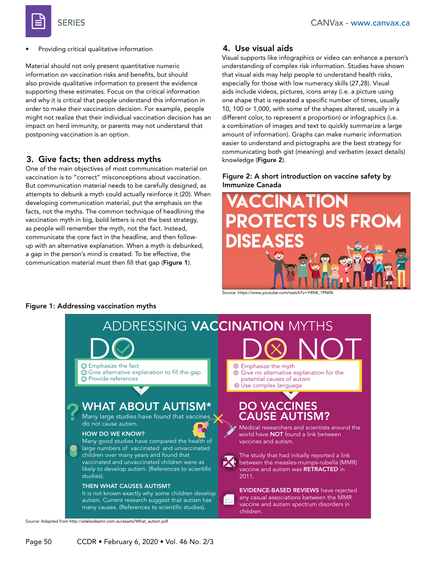

• Providing critical qualitative information

Material should not only present quantitative numeric information on vaccination risks and benefits, but should also provide qualitative information to present the evidence supporting these estimates. Focus on the critical information and why it is critical that people understand this information in order to make their vaccination decision. For example, people might not realize that their individual vaccination decision has an impact on herd immunity, or parents may not understand that postponing vaccination is an option.

#### 3. Give facts; then address myths

One of the main objectives of most communication material on vaccination is to "correct" misconceptions about vaccination. But communication material needs to be carefully designed, as attempts to debunk a myth could actually reinforce it (20). When developing communication material, put the emphasis on the facts, not the myths. The common technique of headlining the vaccination myth in big, bold letters is not the best strategy, as people will remember the myth, not the fact. Instead, communicate the core fact in the headline, and then followup with an alternative explanation. When a myth is debunked, a gap in the person's mind is created. To be effective, the communication material must then fill that gap (Figure 1).

### 4. Use visual aids

Visual supports like infographics or video can enhance a person's understanding of complex risk information. Studies have shown that visual aids may help people to understand health risks, especially for those with low numeracy skills (27,28). Visual aids include videos, pictures, icons array (i.e. a picture using one shape that is repeated a specific number of times, usually 10, 100 or 1,000, with some of the shapes altered, usually in a different color, to represent a proportion) or infographics (i.e. a combination of images and text to quickly summarize a large amount of information). Graphs can make numeric information easier to understand and pictographs are the best strategy for communicating both gist (meaning) and verbatim (exact details) knowledge (Figure 2).

#### Figure 2: A short introduction on vaccine safety by Immunize Canada



Source: [https://www.youtube.com/watch?v=Y4N4\\_1PNtfk](https://www.youtube.com/watch?v=Y4N4_1PNtfk)



#### Figure 1: Addressing vaccination myths

Source: Adapted from http://adelaidephn.com.au/assets/What\_autism.pdf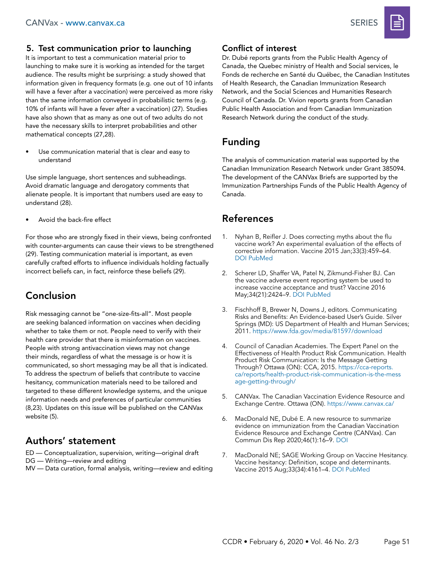

### 5. Test communication prior to launching

It is important to test a communication material prior to launching to make sure it is working as intended for the target audience. The results might be surprising: a study showed that information given in frequency formats (e.g. one out of 10 infants will have a fever after a vaccination) were perceived as more risky than the same information conveyed in probabilistic terms (e.g. 10% of infants will have a fever after a vaccination) (27). Studies have also shown that as many as one out of two adults do not have the necessary skills to interpret probabilities and other mathematical concepts (27,28).

Use communication material that is clear and easy to understand

Use simple language, short sentences and subheadings. Avoid dramatic language and derogatory comments that alienate people. It is important that numbers used are easy to understand (28).

Avoid the back-fire effect

For those who are strongly fixed in their views, being confronted with counter-arguments can cause their views to be strengthened (29). Testing communication material is important, as even carefully crafted efforts to influence individuals holding factually incorrect beliefs can, in fact, reinforce these beliefs (29).

# Conclusion

Risk messaging cannot be "one-size-fits-all". Most people are seeking balanced information on vaccines when deciding whether to take them or not. People need to verify with their health care provider that there is misinformation on vaccines. People with strong antivaccination views may not change their minds, regardless of what the message is or how it is communicated, so short messaging may be all that is indicated. To address the spectrum of beliefs that contribute to vaccine hesitancy, communication materials need to be tailored and targeted to these different knowledge systems, and the unique information needs and preferences of particular communities (8,23). Updates on this issue will be published on the CANVax website (5).

# Authors' statement

ED — Conceptualization, supervision, writing—original draft

- DG Writing—review and editing
- MV Data curation, formal analysis, writing—review and editing

### Conflict of interest

Dr. Dubé reports grants from the Public Health Agency of Canada, the Quebec ministry of Health and Social services, le Fonds de recherche en Santé du Québec, the Canadian Institutes of Health Research, the Canadian Immunization Research Network, and the Social Sciences and Humanities Research Council of Canada. Dr. Vivion reports grants from Canadian Public Health Association and from Canadian Immunization Research Network during the conduct of the study.

# Funding

The analysis of communication material was supported by the Canadian Immunization Research Network under Grant 385094. The development of the CANVax Briefs are supported by the Immunization Partnerships Funds of the Public Health Agency of Canada.

# References

- 1. Nyhan B, Reifler J. Does correcting myths about the flu vaccine work? An experimental evaluation of the effects of corrective information. Vaccine 2015 Jan;33(3):459–64. [DOI](https://doi.org/10.1016/j.vaccine.2014.11.017) [PubMed](https://www.ncbi.nlm.nih.gov/entrez/query.fcgi?cmd=Retrieve&db=PubMed&list_uids=25499651&dopt=Abstract)
- 2. Scherer LD, Shaffer VA, Patel N, Zikmund-Fisher BJ. Can the vaccine adverse event reporting system be used to increase vaccine acceptance and trust? Vaccine 2016 May;34(21):2424–9. [DOI](https://doi.org/10.1016/j.vaccine.2016.03.087) [PubMed](https://www.ncbi.nlm.nih.gov/entrez/query.fcgi?cmd=Retrieve&db=PubMed&list_uids=27049120&dopt=Abstract)
- 3. Fischhoff B, Brewer N, Downs J, editors. Communicating Risks and Benefits: An Evidence-based User's Guide. Silver Springs (MD): US Department of Health and Human Services; 2011.<https://www.fda.gov/media/81597/download>
- 4. Council of Canadian Academies. The Expert Panel on the Effectiveness of Health Product Risk Communication. Health Product Risk Communication: Is the Message Getting Through? Ottawa (ON): CCA, 2015. [https://cca-reports.](https://cca-reports.ca/reports/health-product-risk-communication-is-the-message-getting-through/) [ca/reports/health-product-risk-communication-is-the-mess](https://cca-reports.ca/reports/health-product-risk-communication-is-the-message-getting-through/) [age-getting-through/](https://cca-reports.ca/reports/health-product-risk-communication-is-the-message-getting-through/)
- 5. CANVax. The Canadian Vaccination Evidence Resource and Exchange Centre. Ottawa (ON). <https://www.canvax.ca/>
- 6. MacDonald NE, Dubé E. A new resource to summarize evidence on immunization from the Canadian Vaccination Evidence Resource and Exchange Centre (CANVax). Can Commun Dis Rep 2020;46(1):16–9. [DOI](https://doi.org/10.14745/ccdr.v46i01a03)
- 7. MacDonald NE; SAGE Working Group on Vaccine Hesitancy. Vaccine hesitancy: Definition, scope and determinants. Vaccine 2015 Aug;33(34):4161–4. [DOI](https://doi.org/10.1016/j.vaccine.2015.04.036) [PubMed](https://www.ncbi.nlm.nih.gov/entrez/query.fcgi?cmd=Retrieve&db=PubMed&list_uids=25896383&dopt=Abstract)